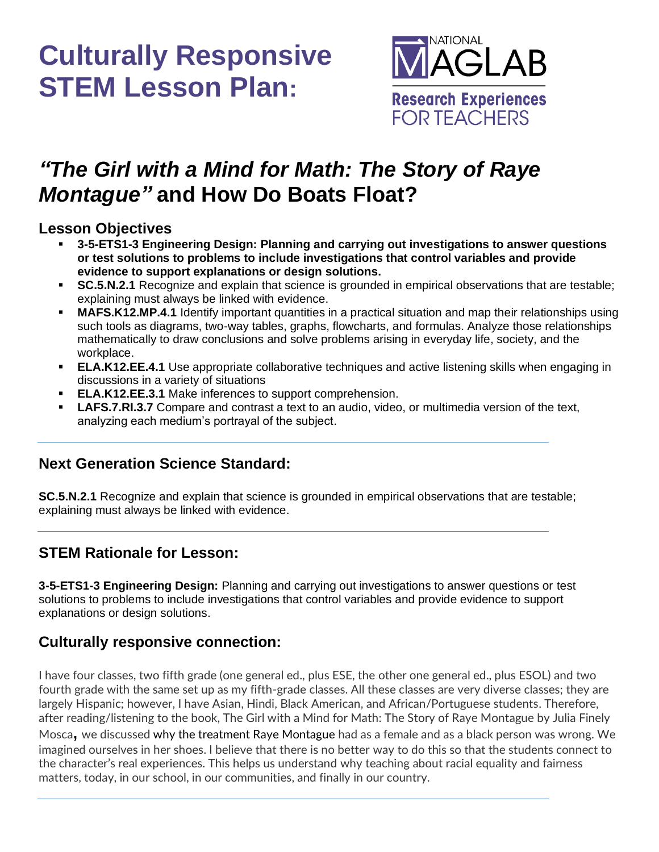

### *"The Girl with a Mind for Math: The Story of Raye Montague"* **and How Do Boats Float?**

#### **Lesson Objectives**

- **3-5-ETS1-3 Engineering Design: Planning and carrying out investigations to answer questions or test solutions to problems to include investigations that control variables and provide evidence to support explanations or design solutions.**
- **SC.5.N.2.1** Recognize and explain that science is grounded in empirical observations that are testable; explaining must always be linked with evidence.
- **MAFS.K12.MP.4.1** Identify important quantities in a practical situation and map their relationships using such tools as diagrams, two-way tables, graphs, flowcharts, and formulas. Analyze those relationships mathematically to draw conclusions and solve problems arising in everyday life, society, and the workplace.
- **ELA.K12.EE.4.1** Use appropriate collaborative techniques and active listening skills when engaging in discussions in a variety of situations
- **ELA.K12.EE.3.1** Make inferences to support comprehension.
- **LAFS.7.RI.3.7** Compare and contrast a text to an audio, video, or multimedia version of the text, analyzing each medium's portrayal of the subject.

### **Next Generation Science Standard:**

**SC.5.N.2.1** Recognize and explain that science is grounded in empirical observations that are testable; explaining must always be linked with evidence.

### **STEM Rationale for Lesson:**

**3-5-ETS1-3 Engineering Design:** Planning and carrying out investigations to answer questions or test solutions to problems to include investigations that control variables and provide evidence to support explanations or design solutions.

### **Culturally responsive connection:**

I have four classes, two fifth grade (one general ed., plus ESE, the other one general ed., plus ESOL) and two fourth grade with the same set up as my fifth-grade classes. All these classes are very diverse classes; they are largely Hispanic; however, I have Asian, Hindi, Black American, and African/Portuguese students. Therefore, after reading/listening to the book, The Girl with a Mind for Math: The Story of Raye Montague by Julia Finely Mosca**,** we discussed why the treatment Raye Montague had as a female and as a black person was wrong. We imagined ourselves in her shoes. I believe that there is no better way to do this so that the students connect to the character's real experiences. This helps us understand why teaching about racial equality and fairness matters, today, in our school, in our communities, and finally in our country.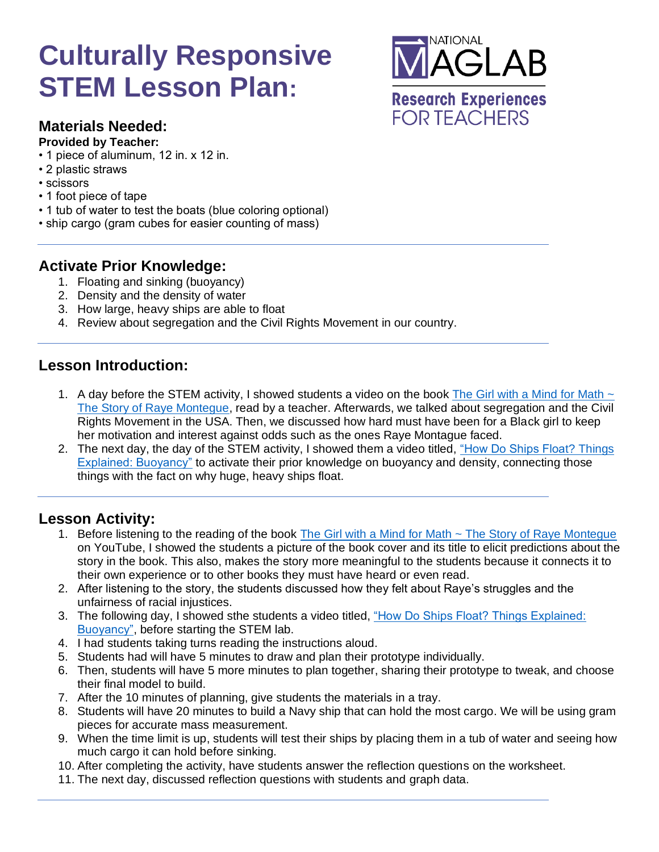

#### **Materials Needed:**

- **Provided by Teacher:**
- 1 piece of aluminum, 12 in. x 12 in.
- 2 plastic straws
- scissors
- 1 foot piece of tape
- 1 tub of water to test the boats (blue coloring optional)
- ship cargo (gram cubes for easier counting of mass)

#### **Activate Prior Knowledge:**

- 1. Floating and sinking (buoyancy)
- 2. Density and the density of water
- 3. How large, heavy ships are able to float
- 4. Review about segregation and the Civil Rights Movement in our country.

#### **Lesson Introduction:**

- 1. A day before the STEM activity, I showed students a video on the book The Girl with a Mind for Math  $\sim$ [The Story of Raye Montegue,](https://youtu.be/t0kDEAG-Tb8) read by a teacher. Afterwards, we talked about segregation and the Civil Rights Movement in the USA. Then, we discussed how hard must have been for a Black girl to keep her motivation and interest against odds such as the ones Raye Montague faced.
- 2. The next day, the day of the STEM activity, I showed them a video titled, ["How Do Ships Float? Things](video:%20https://www.youtube.com/watch?v=06TFRgPlmxU)  [Explained: Buoyancy"](video:%20https://www.youtube.com/watch?v=06TFRgPlmxU) to activate their prior knowledge on buoyancy and density, connecting those things with the fact on why huge, heavy ships float.

#### **Lesson Activity:**

- 1. Before listening to the reading of the book [The Girl with a Mind for Math ~ The Story of Raye Montegue](https://youtu.be/t0kDEAG-Tb8) on YouTube, I showed the students a picture of the book cover and its title to elicit predictions about the story in the book. This also, makes the story more meaningful to the students because it connects it to their own experience or to other books they must have heard or even read.
- 2. After listening to the story, the students discussed how they felt about Raye's struggles and the unfairness of racial injustices.
- 3. The following day, I showed sthe students a video titled, ["How Do Ships Float? Things Explained:](video:%20https://www.youtube.com/watch?v=06TFRgPlmxU)  [Buoyancy",](video:%20https://www.youtube.com/watch?v=06TFRgPlmxU) before starting the STEM lab.
- 4. I had students taking turns reading the instructions aloud.
- 5. Students had will have 5 minutes to draw and plan their prototype individually.
- 6. Then, students will have 5 more minutes to plan together, sharing their prototype to tweak, and choose their final model to build.
- 7. After the 10 minutes of planning, give students the materials in a tray.
- 8. Students will have 20 minutes to build a Navy ship that can hold the most cargo. We will be using gram pieces for accurate mass measurement.
- 9. When the time limit is up, students will test their ships by placing them in a tub of water and seeing how much cargo it can hold before sinking.
- 10. After completing the activity, have students answer the reflection questions on the worksheet.
- 11. The next day, discussed reflection questions with students and graph data.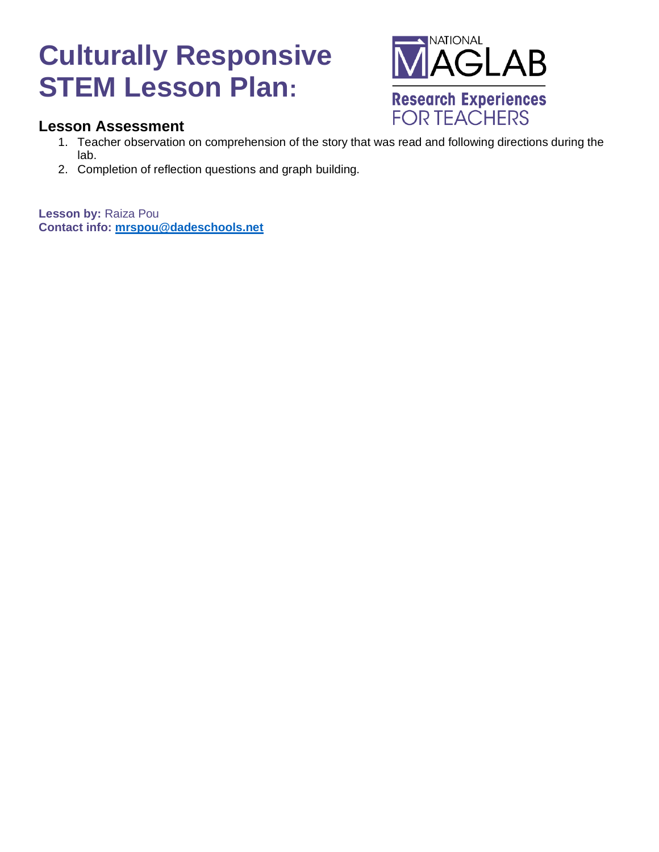

#### **Lesson Assessment**

- 1. Teacher observation on comprehension of the story that was read and following directions during the lab.
- 2. Completion of reflection questions and graph building.

**Lesson by:** Raiza Pou **Contact info: [mrspou@dadeschools.net](mailto:mrspou@dadeschools.net)**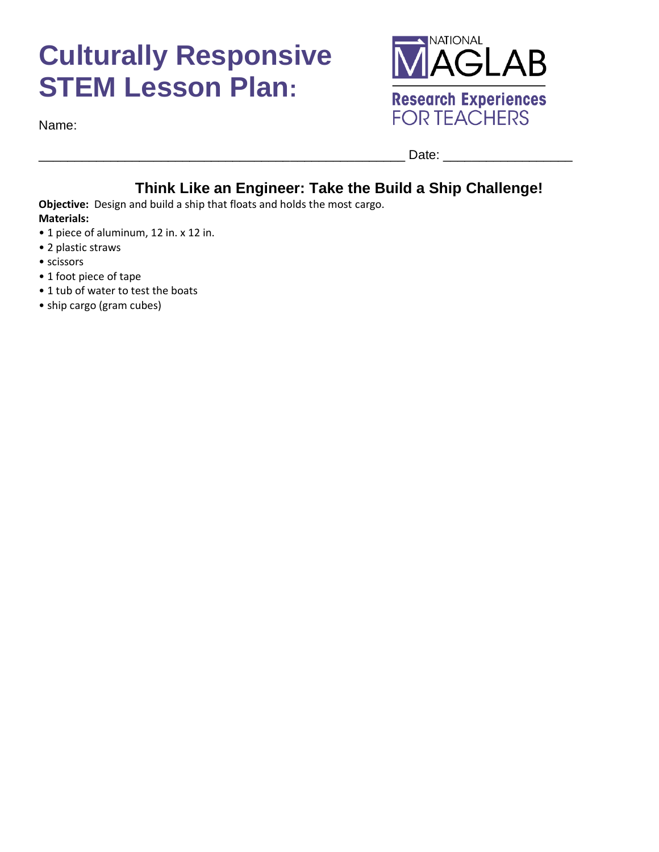



Date:

### **Think Like an Engineer: Take the Build a Ship Challenge!**

**Objective:** Design and build a ship that floats and holds the most cargo. **Materials:** 

- 1 piece of aluminum, 12 in. x 12 in.
- 2 plastic straws
- scissors
- 1 foot piece of tape
- 1 tub of water to test the boats
- ship cargo (gram cubes)